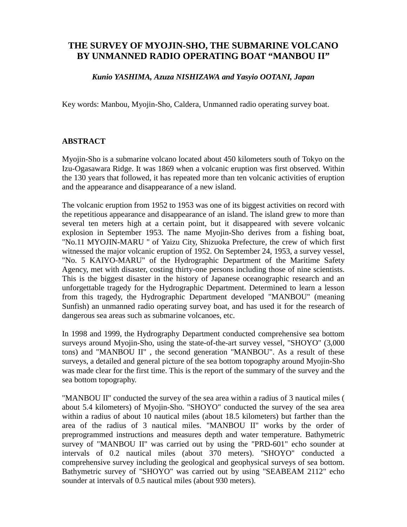## **THE SURVEY OF MYOJIN-SHO, THE SUBMARINE VOLCANO BY UNMANNED RADIO OPERATING BOAT "MANBOU II"**

## *Kunio YASHIMA, Azuza NISHIZAWA and Yasyio OOTANI, Japan*

Key words: Manbou, Myojin-Sho, Caldera, Unmanned radio operating survey boat.

## **ABSTRACT**

Myojin-Sho is a submarine volcano located about 450 kilometers south of Tokyo on the Izu-Ogasawara Ridge. It was 1869 when a volcanic eruption was first observed. Within the 130 years that followed, it has repeated more than ten volcanic activities of eruption and the appearance and disappearance of a new island.

The volcanic eruption from 1952 to 1953 was one of its biggest activities on record with the repetitious appearance and disappearance of an island. The island grew to more than several ten meters high at a certain point, but it disappeared with severe volcanic explosion in September 1953. The name Myojin-Sho derives from a fishing boat, "No.11 MYOJIN-MARU " of Yaizu City, Shizuoka Prefecture, the crew of which first witnessed the major volcanic eruption of 1952. On September 24, 1953, a survey vessel, "No. 5 KAIYO-MARU" of the Hydrographic Department of the Maritime Safety Agency, met with disaster, costing thirty-one persons including those of nine scientists. This is the biggest disaster in the history of Japanese oceanographic research and an unforgettable tragedy for the Hydrographic Department. Determined to learn a lesson from this tragedy, the Hydrographic Department developed "MANBOU" (meaning Sunfish) an unmanned radio operating survey boat, and has used it for the research of dangerous sea areas such as submarine volcanoes, etc.

In 1998 and 1999, the Hydrography Department conducted comprehensive sea bottom surveys around Myojin-Sho, using the state-of-the-art survey vessel, "SHOYO" (3,000 tons) and "MANBOU II" , the second generation "MANBOU". As a result of these surveys, a detailed and general picture of the sea bottom topography around Myojin-Sho was made clear for the first time. This is the report of the summary of the survey and the sea bottom topography.

"MANBOU II" conducted the survey of the sea area within a radius of 3 nautical miles ( about 5.4 kilometers) of Myojin-Sho. "SHOYO" conducted the survey of the sea area within a radius of about 10 nautical miles (about 18.5 kilometers) but farther than the area of the radius of 3 nautical miles. "MANBOU II" works by the order of preprogrammed instructions and measures depth and water temperature. Bathymetric survey of "MANBOU II" was carried out by using the "PRD-601" echo sounder at intervals of 0.2 nautical miles (about 370 meters). "SHOYO" conducted a comprehensive survey including the geological and geophysical surveys of sea bottom. Bathymetric survey of "SHOYO" was carried out by using "SEABEAM 2112" echo sounder at intervals of 0.5 nautical miles (about 930 meters).